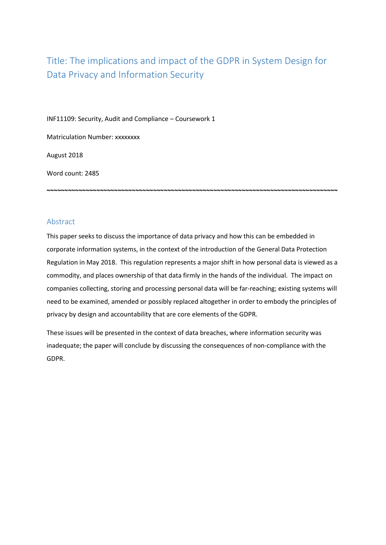# Title: The implications and impact of the GDPR in System Design for Data Privacy and Information Security

INF11109: Security, Audit and Compliance – Coursework 1

Matriculation Number: xxxxxxxx

August 2018

Word count: 2485

# Abstract

This paper seeks to discuss the importance of data privacy and how this can be embedded in corporate information systems, in the context of the introduction of the General Data Protection Regulation in May 2018. This regulation represents a major shift in how personal data is viewed as a commodity, and places ownership of that data firmly in the hands of the individual. The impact on companies collecting, storing and processing personal data will be far-reaching; existing systems will need to be examined, amended or possibly replaced altogether in order to embody the principles of privacy by design and accountability that are core elements of the GDPR.

**~~~~~~~~~~~~~~~~~~~~~~~~~~~~~~~~~~~~~~~~~~~~~~~~~~~~~~~~~~~~~~~~~~~~~~~~~~~~~~~~~~**

These issues will be presented in the context of data breaches, where information security was inadequate; the paper will conclude by discussing the consequences of non-compliance with the GDPR.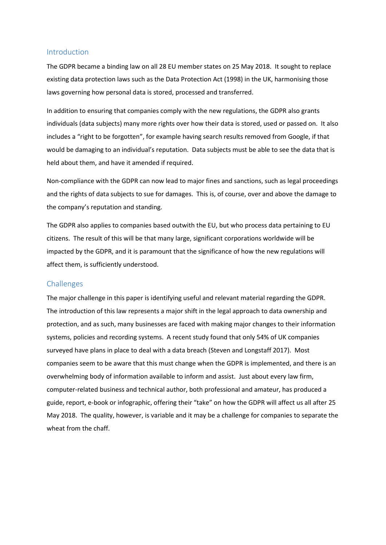## Introduction

The GDPR became a binding law on all 28 EU member states on 25 May 2018. It sought to replace existing data protection laws such as the Data Protection Act (1998) in the UK, harmonising those laws governing how personal data is stored, processed and transferred.

In addition to ensuring that companies comply with the new regulations, the GDPR also grants individuals (data subjects) many more rights over how their data is stored, used or passed on. It also includes a "right to be forgotten", for example having search results removed from Google, if that would be damaging to an individual's reputation. Data subjects must be able to see the data that is held about them, and have it amended if required.

Non-compliance with the GDPR can now lead to major fines and sanctions, such as legal proceedings and the rights of data subjects to sue for damages. This is, of course, over and above the damage to the company's reputation and standing.

The GDPR also applies to companies based outwith the EU, but who process data pertaining to EU citizens. The result of this will be that many large, significant corporations worldwide will be impacted by the GDPR, and it is paramount that the significance of how the new regulations will affect them, is sufficiently understood.

#### Challenges

The major challenge in this paper is identifying useful and relevant material regarding the GDPR. The introduction of this law represents a major shift in the legal approach to data ownership and protection, and as such, many businesses are faced with making major changes to their information systems, policies and recording systems. A recent study found that only 54% of UK companies surveyed have plans in place to deal with a data breach (Steven and Longstaff 2017). Most companies seem to be aware that this must change when the GDPR is implemented, and there is an overwhelming body of information available to inform and assist. Just about every law firm, computer-related business and technical author, both professional and amateur, has produced a guide, report, e-book or infographic, offering their "take" on how the GDPR will affect us all after 25 May 2018. The quality, however, is variable and it may be a challenge for companies to separate the wheat from the chaff.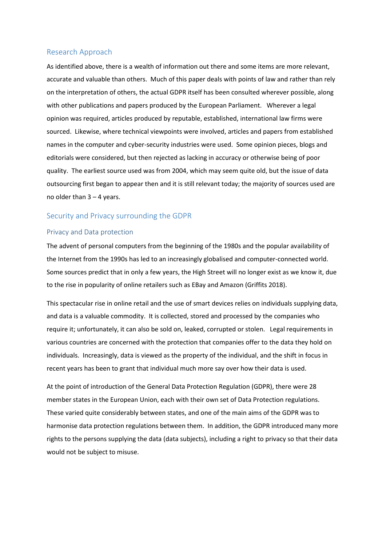## Research Approach

As identified above, there is a wealth of information out there and some items are more relevant, accurate and valuable than others. Much of this paper deals with points of law and rather than rely on the interpretation of others, the actual GDPR itself has been consulted wherever possible, along with other publications and papers produced by the European Parliament. Wherever a legal opinion was required, articles produced by reputable, established, international law firms were sourced. Likewise, where technical viewpoints were involved, articles and papers from established names in the computer and cyber-security industries were used. Some opinion pieces, blogs and editorials were considered, but then rejected as lacking in accuracy or otherwise being of poor quality. The earliest source used was from 2004, which may seem quite old, but the issue of data outsourcing first began to appear then and it is still relevant today; the majority of sources used are no older than 3 – 4 years.

# Security and Privacy surrounding the GDPR

### Privacy and Data protection

The advent of personal computers from the beginning of the 1980s and the popular availability of the Internet from the 1990s has led to an increasingly globalised and computer-connected world. Some sources predict that in only a few years, the High Street will no longer exist as we know it, due to the rise in popularity of online retailers such as EBay and Amazon (Griffits 2018).

This spectacular rise in online retail and the use of smart devices relies on individuals supplying data, and data is a valuable commodity. It is collected, stored and processed by the companies who require it; unfortunately, it can also be sold on, leaked, corrupted or stolen. Legal requirements in various countries are concerned with the protection that companies offer to the data they hold on individuals. Increasingly, data is viewed as the property of the individual, and the shift in focus in recent years has been to grant that individual much more say over how their data is used.

At the point of introduction of the General Data Protection Regulation (GDPR), there were 28 member states in the European Union, each with their own set of Data Protection regulations. These varied quite considerably between states, and one of the main aims of the GDPR was to harmonise data protection regulations between them. In addition, the GDPR introduced many more rights to the persons supplying the data (data subjects), including a right to privacy so that their data would not be subject to misuse.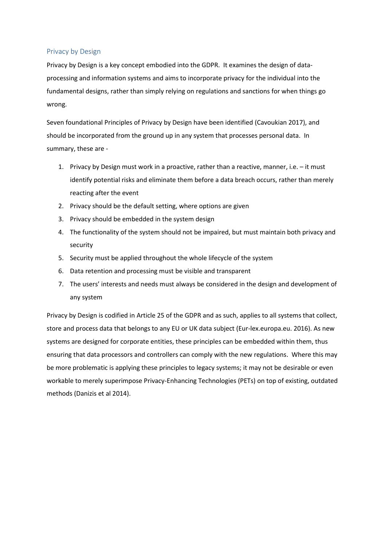## Privacy by Design

Privacy by Design is a key concept embodied into the GDPR. It examines the design of dataprocessing and information systems and aims to incorporate privacy for the individual into the fundamental designs, rather than simply relying on regulations and sanctions for when things go wrong.

Seven foundational Principles of Privacy by Design have been identified (Cavoukian 2017), and should be incorporated from the ground up in any system that processes personal data. In summary, these are -

- 1. Privacy by Design must work in a proactive, rather than a reactive, manner, i.e. it must identify potential risks and eliminate them before a data breach occurs, rather than merely reacting after the event
- 2. Privacy should be the default setting, where options are given
- 3. Privacy should be embedded in the system design
- 4. The functionality of the system should not be impaired, but must maintain both privacy and security
- 5. Security must be applied throughout the whole lifecycle of the system
- 6. Data retention and processing must be visible and transparent
- 7. The users' interests and needs must always be considered in the design and development of any system

Privacy by Design is codified in Article 25 of the GDPR and as such, applies to all systems that collect, store and process data that belongs to any EU or UK data subject (Eur-lex.europa.eu. 2016). As new systems are designed for corporate entities, these principles can be embedded within them, thus ensuring that data processors and controllers can comply with the new regulations. Where this may be more problematic is applying these principles to legacy systems; it may not be desirable or even workable to merely superimpose Privacy-Enhancing Technologies (PETs) on top of existing, outdated methods (Danizis et al 2014).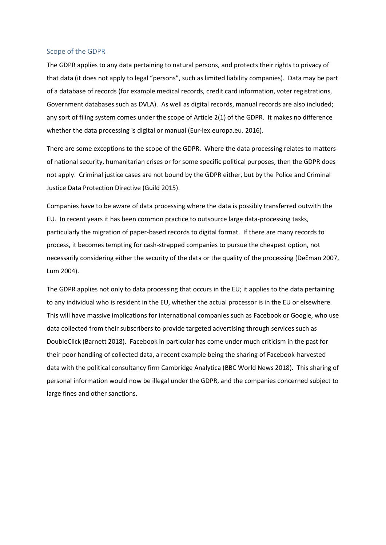#### Scope of the GDPR

The GDPR applies to any data pertaining to natural persons, and protects their rights to privacy of that data (it does not apply to legal "persons", such as limited liability companies). Data may be part of a database of records (for example medical records, credit card information, voter registrations, Government databases such as DVLA). As well as digital records, manual records are also included; any sort of filing system comes under the scope of Article 2(1) of the GDPR. It makes no difference whether the data processing is digital or manual (Eur-lex.europa.eu. 2016).

There are some exceptions to the scope of the GDPR. Where the data processing relates to matters of national security, humanitarian crises or for some specific political purposes, then the GDPR does not apply. Criminal justice cases are not bound by the GDPR either, but by the Police and Criminal Justice Data Protection Directive (Guild 2015).

Companies have to be aware of data processing where the data is possibly transferred outwith the EU. In recent years it has been common practice to outsource large data-processing tasks, particularly the migration of paper-based records to digital format. If there are many records to process, it becomes tempting for cash-strapped companies to pursue the cheapest option, not necessarily considering either the security of the data or the quality of the processing (Dečman 2007, Lum 2004).

The GDPR applies not only to data processing that occurs in the EU; it applies to the data pertaining to any individual who is resident in the EU, whether the actual processor is in the EU or elsewhere. This will have massive implications for international companies such as Facebook or Google, who use data collected from their subscribers to provide targeted advertising through services such as DoubleClick (Barnett 2018). Facebook in particular has come under much criticism in the past for their poor handling of collected data, a recent example being the sharing of Facebook-harvested data with the political consultancy firm Cambridge Analytica (BBC World News 2018). This sharing of personal information would now be illegal under the GDPR, and the companies concerned subject to large fines and other sanctions.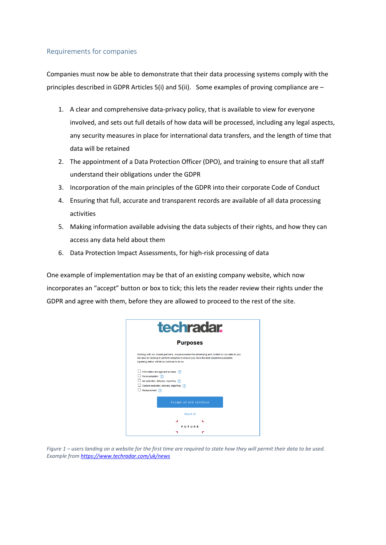# Requirements for companies

Companies must now be able to demonstrate that their data processing systems comply with the principles described in GDPR Articles 5(i) and 5(ii). Some examples of proving compliance are –

- 1. A clear and comprehensive data-privacy policy, that is available to view for everyone involved, and sets out full details of how data will be processed, including any legal aspects, any security measures in place for international data transfers, and the length of time that data will be retained
- 2. The appointment of a Data Protection Officer (DPO), and training to ensure that all staff understand their obligations under the GDPR
- 3. Incorporation of the main principles of the GDPR into their corporate Code of Conduct
- 4. Ensuring that full, accurate and transparent records are available of all data processing activities
- 5. Making information available advising the data subjects of their rights, and how they can access any data held about them
- 6. Data Protection Impact Assessments, for high-risk processing of data

One example of implementation may be that of an existing company website, which now incorporates an "accept" button or box to tick; this lets the reader review their rights under the GDPR and agree with them, before they are allowed to proceed to the rest of the site.



*Figure 1 – users landing on a website for the first time are required to state how they will permit their data to be used. Example fro[m https://www.techradar.com/uk/news](https://www.techradar.com/uk/news)*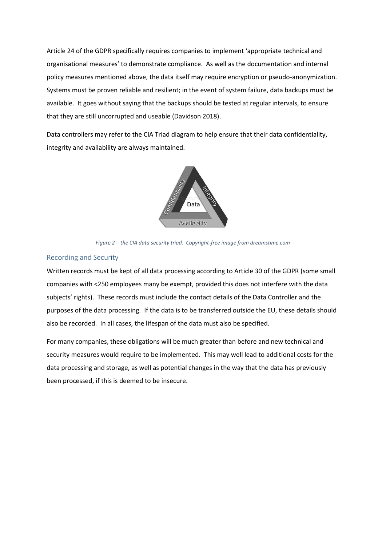Article 24 of the GDPR specifically requires companies to implement 'appropriate technical and organisational measures' to demonstrate compliance. As well as the documentation and internal policy measures mentioned above, the data itself may require encryption or pseudo-anonymization. Systems must be proven reliable and resilient; in the event of system failure, data backups must be available. It goes without saying that the backups should be tested at regular intervals, to ensure that they are still uncorrupted and useable (Davidson 2018).

Data controllers may refer to the CIA Triad diagram to help ensure that their data confidentiality, integrity and availability are always maintained.



*Figure 2 – the CIA data security triad. Copyright-free image from dreamstime.com*

## Recording and Security

Written records must be kept of all data processing according to Article 30 of the GDPR (some small companies with <250 employees many be exempt, provided this does not interfere with the data subjects' rights). These records must include the contact details of the Data Controller and the purposes of the data processing. If the data is to be transferred outside the EU, these details should also be recorded. In all cases, the lifespan of the data must also be specified.

For many companies, these obligations will be much greater than before and new technical and security measures would require to be implemented. This may well lead to additional costs for the data processing and storage, as well as potential changes in the way that the data has previously been processed, if this is deemed to be insecure.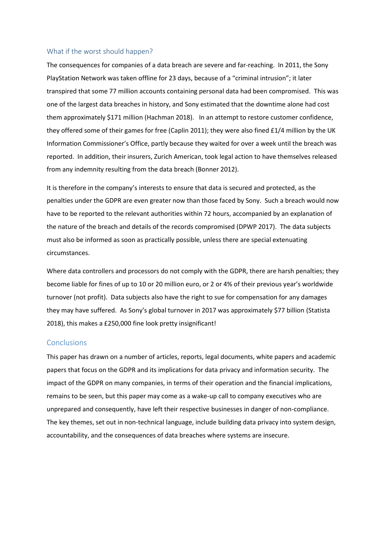#### What if the worst should happen?

The consequences for companies of a data breach are severe and far-reaching. In 2011, the Sony PlayStation Network was taken offline for 23 days, because of a "criminal intrusion"; it later transpired that some 77 million accounts containing personal data had been compromised. This was one of the largest data breaches in history, and Sony estimated that the downtime alone had cost them approximately \$171 million (Hachman 2018). In an attempt to restore customer confidence, they offered some of their games for free (Caplin 2011); they were also fined £1/4 million by the UK Information Commissioner's Office, partly because they waited for over a week until the breach was reported. In addition, their insurers, Zurich American, took legal action to have themselves released from any indemnity resulting from the data breach (Bonner 2012).

It is therefore in the company's interests to ensure that data is secured and protected, as the penalties under the GDPR are even greater now than those faced by Sony. Such a breach would now have to be reported to the relevant authorities within 72 hours, accompanied by an explanation of the nature of the breach and details of the records compromised (DPWP 2017). The data subjects must also be informed as soon as practically possible, unless there are special extenuating circumstances.

Where data controllers and processors do not comply with the GDPR, there are harsh penalties; they become liable for fines of up to 10 or 20 million euro, or 2 or 4% of their previous year's worldwide turnover (not profit). Data subjects also have the right to sue for compensation for any damages they may have suffered. As Sony's global turnover in 2017 was approximately \$77 billion (Statista 2018), this makes a £250,000 fine look pretty insignificant!

### **Conclusions**

This paper has drawn on a number of articles, reports, legal documents, white papers and academic papers that focus on the GDPR and its implications for data privacy and information security. The impact of the GDPR on many companies, in terms of their operation and the financial implications, remains to be seen, but this paper may come as a wake-up call to company executives who are unprepared and consequently, have left their respective businesses in danger of non-compliance. The key themes, set out in non-technical language, include building data privacy into system design, accountability, and the consequences of data breaches where systems are insecure.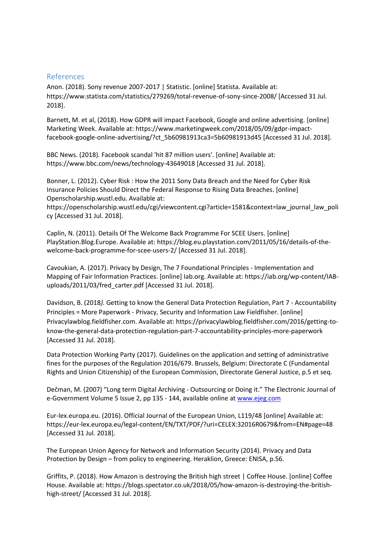# References

Anon. (2018). Sony revenue 2007-2017 | Statistic. [online] Statista. Available at: https://www.statista.com/statistics/279269/total-revenue-of-sony-since-2008/ [Accessed 31 Jul. 2018].

Barnett, M. et al, (2018). How GDPR will impact Facebook, Google and online advertising. [online] Marketing Week. Available at: https://www.marketingweek.com/2018/05/09/gdpr-impactfacebook-google-online-advertising/?ct\_5b60981913ca3=5b60981913d45 [Accessed 31 Jul. 2018].

BBC News. (2018). Facebook scandal 'hit 87 million users'. [online] Available at: https://www.bbc.com/news/technology-43649018 [Accessed 31 Jul. 2018].

Bonner, L. (2012). Cyber Risk : How the 2011 Sony Data Breach and the Need for Cyber Risk Insurance Policies Should Direct the Federal Response to Rising Data Breaches. [online] Openscholarship.wustl.edu. Available at:

https://openscholarship.wustl.edu/cgi/viewcontent.cgi?article=1581&context=law\_journal\_law\_poli cy [Accessed 31 Jul. 2018].

Caplin, N. (2011). Details Of The Welcome Back Programme For SCEE Users. [online] PlayStation.Blog.Europe. Available at: https://blog.eu.playstation.com/2011/05/16/details-of-thewelcome-back-programme-for-scee-users-2/ [Accessed 31 Jul. 2018].

Cavoukian, A. (2017). Privacy by Design, The 7 Foundational Principles - Implementation and Mapping of Fair Information Practices. [online] Iab.org. Available at: https://iab.org/wp-content/IABuploads/2011/03/fred\_carter.pdf [Accessed 31 Jul. 2018].

Davidson, B. (2018*).* Getting to know the General Data Protection Regulation, Part 7 - Accountability Principles = More Paperwork - Privacy, Security and Information Law Fieldfisher. [online] Privacylawblog.fieldfisher.com. Available at: https://privacylawblog.fieldfisher.com/2016/getting-toknow-the-general-data-protection-regulation-part-7-accountability-principles-more-paperwork [Accessed 31 Jul. 2018].

Data Protection Working Party (2017). Guidelines on the application and setting of administrative fines for the purposes of the Regulation 2016/679. Brussels, Belgium: Directorate C (Fundamental Rights and Union Citizenship) of the European Commission, Directorate General Justice, p.5 et seq.

Dečman, M. (2007) "Long term Digital Archiving - Outsourcing or Doing it." The Electronic Journal of e-Government Volume 5 Issue 2, pp 135 - 144, available online at [www.ejeg.com](http://www.ejeg.com/)

Eur-lex.europa.eu. (2016). Official Journal of the European Union, L119/48 [online] Available at: https://eur-lex.europa.eu/legal-content/EN/TXT/PDF/?uri=CELEX:32016R0679&from=EN#page=48 [Accessed 31 Jul. 2018].

The European Union Agency for Network and Information Security (2014). Privacy and Data Protection by Design – from policy to engineering. Heraklion, Greece: ENISA, p.56.

Griffits, P. (2018). How Amazon is destroying the British high street | Coffee House. [online] Coffee House. Available at: https://blogs.spectator.co.uk/2018/05/how-amazon-is-destroying-the-britishhigh-street/ [Accessed 31 Jul. 2018].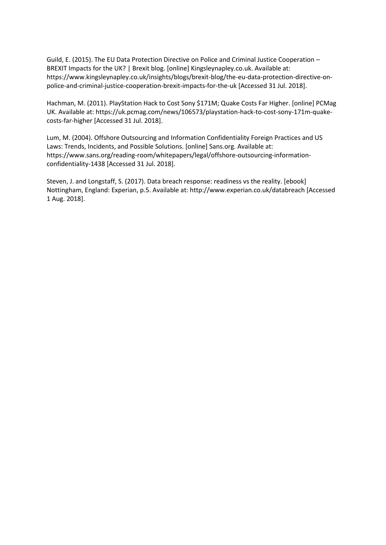Guild, E. (2015). The EU Data Protection Directive on Police and Criminal Justice Cooperation – BREXIT Impacts for the UK? | Brexit blog. [online] Kingsleynapley.co.uk. Available at: https://www.kingsleynapley.co.uk/insights/blogs/brexit-blog/the-eu-data-protection-directive-onpolice-and-criminal-justice-cooperation-brexit-impacts-for-the-uk [Accessed 31 Jul. 2018].

Hachman, M. (2011). PlayStation Hack to Cost Sony \$171M; Quake Costs Far Higher. [online] PCMag UK. Available at: https://uk.pcmag.com/news/106573/playstation-hack-to-cost-sony-171m-quakecosts-far-higher [Accessed 31 Jul. 2018].

Lum, M. (2004). Offshore Outsourcing and Information Confidentiality Foreign Practices and US Laws: Trends, Incidents, and Possible Solutions. [online] Sans.org. Available at: https://www.sans.org/reading-room/whitepapers/legal/offshore-outsourcing-informationconfidentiality-1438 [Accessed 31 Jul. 2018].

Steven, J. and Longstaff, S. (2017). Data breach response: readiness vs the reality. [ebook] Nottingham, England: Experian, p.5. Available at: http://www.experian.co.uk/databreach [Accessed 1 Aug. 2018].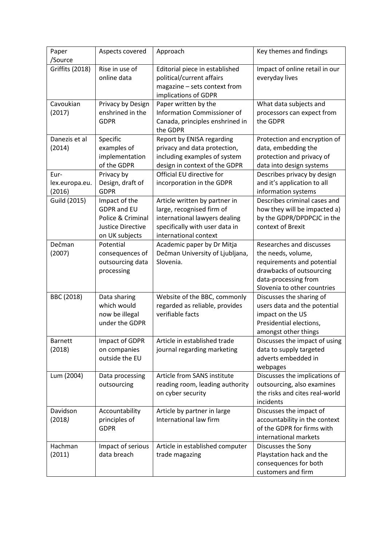| Paper<br>/Source                 | Aspects covered                                                                                 | Approach                                                                                                                                               | Key themes and findings                                                                                                                                         |
|----------------------------------|-------------------------------------------------------------------------------------------------|--------------------------------------------------------------------------------------------------------------------------------------------------------|-----------------------------------------------------------------------------------------------------------------------------------------------------------------|
| <b>Griffits (2018)</b>           | Rise in use of<br>online data                                                                   | Editorial piece in established<br>political/current affairs<br>magazine - sets context from<br>implications of GDPR                                    | Impact of online retail in our<br>everyday lives                                                                                                                |
| Cavoukian<br>(2017)              | Privacy by Design<br>enshrined in the<br><b>GDPR</b>                                            | Paper written by the<br>Information Commissioner of<br>Canada, principles enshrined in<br>the GDPR                                                     | What data subjects and<br>processors can expect from<br>the GDPR                                                                                                |
| Danezis et al<br>(2014)          | Specific<br>examples of<br>implementation<br>of the GDPR                                        | Report by ENISA regarding<br>privacy and data protection,<br>including examples of system<br>design in context of the GDPR                             | Protection and encryption of<br>data, embedding the<br>protection and privacy of<br>data into design systems                                                    |
| Eur-<br>lex.europa.eu.<br>(2016) | Privacy by<br>Design, draft of<br><b>GDPR</b>                                                   | Official EU directive for<br>incorporation in the GDPR                                                                                                 | Describes privacy by design<br>and it's application to all<br>information systems                                                                               |
| Guild (2015)                     | Impact of the<br><b>GDPR</b> and EU<br>Police & Criminal<br>Justice Directive<br>on UK subjects | Article written by partner in<br>large, recognised firm of<br>international lawyers dealing<br>specifically with user data in<br>international context | Describes criminal cases and<br>how they will be impacted a)<br>by the GDPR/DPDPCJC in the<br>context of Brexit                                                 |
| Dečman<br>(2007)                 | Potential<br>consequences of<br>outsourcing data<br>processing                                  | Academic paper by Dr Mitja<br>Dečman University of Ljubljana,<br>Slovenia.                                                                             | Researches and discusses<br>the needs, volume,<br>requirements and potential<br>drawbacks of outsourcing<br>data-processing from<br>Slovenia to other countries |
| BBC (2018)                       | Data sharing<br>which would<br>now be illegal<br>under the GDPR                                 | Website of the BBC, commonly<br>regarded as reliable, provides<br>verifiable facts                                                                     | Discusses the sharing of<br>users data and the potential<br>impact on the US<br>Presidential elections,<br>amongst other things                                 |
| <b>Barnett</b><br>(2018)         | Impact of GDPR<br>on companies<br>outside the EU                                                | Article in established trade<br>journal regarding marketing                                                                                            | Discusses the impact of using<br>data to supply targeted<br>adverts embedded in<br>webpages                                                                     |
| Lum (2004)                       | Data processing<br>outsourcing                                                                  | Article from SANS institute<br>reading room, leading authority<br>on cyber security                                                                    | Discusses the implications of<br>outsourcing, also examines<br>the risks and cites real-world<br>incidents                                                      |
| Davidson<br>(2018)               | Accountability<br>principles of<br><b>GDPR</b>                                                  | Article by partner in large<br>International law firm                                                                                                  | Discusses the impact of<br>accountability in the context<br>of the GDPR for firms with<br>international markets                                                 |
| Hachman<br>(2011)                | Impact of serious<br>data breach                                                                | Article in established computer<br>trade magazing                                                                                                      | Discusses the Sony<br>Playstation hack and the<br>consequences for both<br>customers and firm                                                                   |